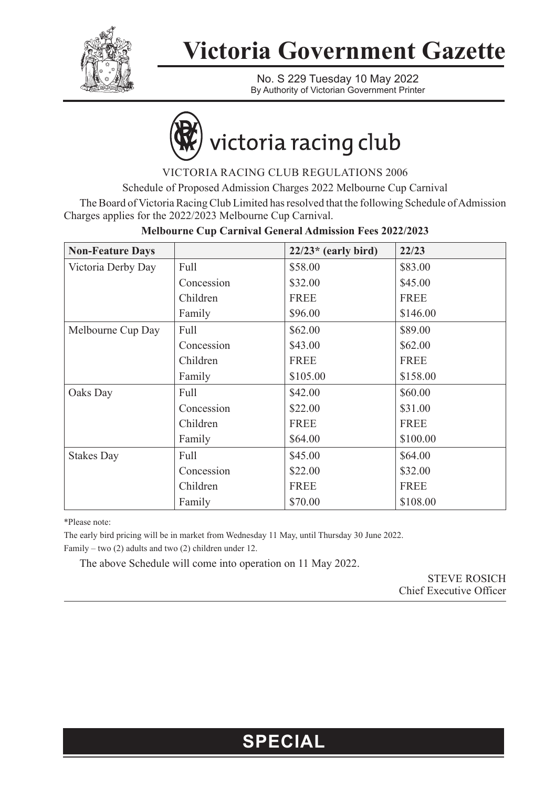

## **Victoria Government Gazette**

No. S 229 Tuesday 10 May 2022 By Authority of Victorian Government Printer

# victoria racing club

VICTORIA RACING CLUB REGULATIONS 2006

Schedule of Proposed Admission Charges 2022 Melbourne Cup Carnival

The Board of Victoria Racing Club Limited has resolved that the following Schedule of Admission Charges applies for the 2022/2023 Melbourne Cup Carnival.

| <b>Non-Feature Days</b> |            | $22/23$ <sup>*</sup> (early bird) | 22/23       |
|-------------------------|------------|-----------------------------------|-------------|
| Victoria Derby Day      | Full       | \$58.00                           | \$83.00     |
|                         | Concession | \$32.00                           | \$45.00     |
|                         | Children   | <b>FREE</b>                       | <b>FREE</b> |
|                         | Family     | \$96.00                           | \$146.00    |
| Melbourne Cup Day       | Full       | \$62.00                           | \$89.00     |
|                         | Concession | \$43.00                           | \$62.00     |
|                         | Children   | <b>FREE</b>                       | <b>FREE</b> |
|                         | Family     | \$105.00                          | \$158.00    |
| Oaks Day                | Full       | \$42.00                           | \$60.00     |
|                         | Concession | \$22.00                           | \$31.00     |
|                         | Children   | <b>FREE</b>                       | <b>FREE</b> |
|                         | Family     | \$64.00                           | \$100.00    |
| <b>Stakes Day</b>       | Full       | \$45.00                           | \$64.00     |
|                         | Concession | \$22.00                           | \$32.00     |
|                         | Children   | <b>FREE</b>                       | <b>FREE</b> |
|                         | Family     | \$70.00                           | \$108.00    |

#### **Melbourne Cup Carnival General Admission Fees 2022/2023**

\*Please note:

The early bird pricing will be in market from Wednesday 11 May, until Thursday 30 June 2022. Family – two (2) adults and two (2) children under 12.

The above Schedule will come into operation on 11 May 2022.

STEVE ROSICH Chief Executive Officer

### **SPECIAL**